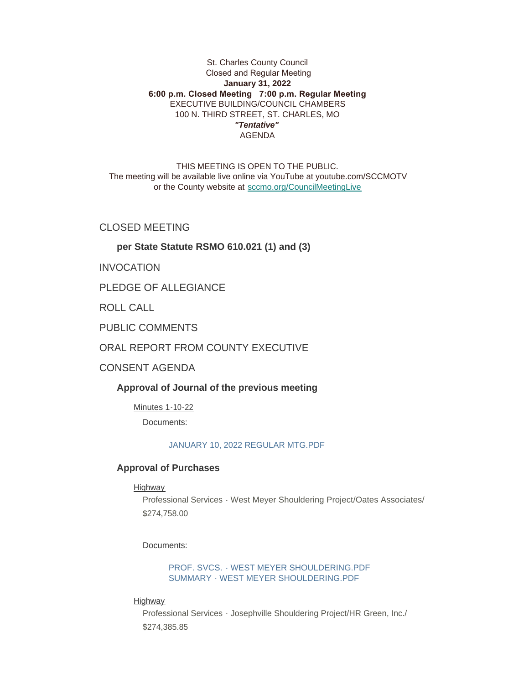## St. Charles County Council Closed and Regular Meeting **January 31, 2022 6:00 p.m. Closed Meeting 7:00 p.m. Regular Meeting** EXECUTIVE BUILDING/COUNCIL CHAMBERS 100 N. THIRD STREET, ST. CHARLES, MO *"Tentative"* AGENDA

THIS MEETING IS OPEN TO THE PUBLIC. The meeting will be available live online via YouTube at youtube.com/SCCMOTV or the County website at [sccmo.org/CouncilMeetingLive](https://sccmo.org/CouncilMeetingLive)

CLOSED MEETING

## **per State Statute RSMO 610.021 (1) and (3)**

INVOCATION

PLEDGE OF ALLEGIANCE

ROLL CALL

PUBLIC COMMENTS

ORAL REPORT FROM COUNTY EXECUTIVE

CONSENT AGENDA

**Approval of Journal of the previous meeting**

Minutes 1-10-22

Documents:

[JANUARY 10, 2022 REGULAR MTG.PDF](https://www.sccmo.org/AgendaCenter/ViewFile/Item/10535?fileID=31486)

#### **Approval of Purchases**

#### Highway

Professional Services - West Meyer Shouldering Project/Oates Associates/ \$274,758.00

Documents:

[PROF. SVCS. - WEST MEYER SHOULDERING.PDF](https://www.sccmo.org/AgendaCenter/ViewFile/Item/10520?fileID=31449) [SUMMARY - WEST MEYER SHOULDERING.PDF](https://www.sccmo.org/AgendaCenter/ViewFile/Item/10520?fileID=31450)

Highway

Professional Services - Josephville Shouldering Project/HR Green, Inc./ \$274,385.85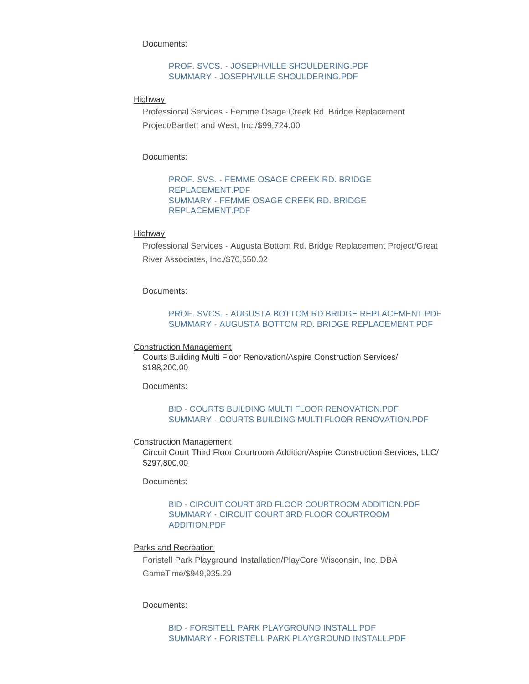Documents:

### [PROF. SVCS. - JOSEPHVILLE SHOULDERING.PDF](https://www.sccmo.org/AgendaCenter/ViewFile/Item/10521?fileID=31451) [SUMMARY - JOSEPHVILLE SHOULDERING.PDF](https://www.sccmo.org/AgendaCenter/ViewFile/Item/10521?fileID=31452)

**Highway** 

Professional Services - Femme Osage Creek Rd. Bridge Replacement Project/Bartlett and West, Inc./\$99,724.00

Documents:

[PROF. SVS. - FEMME OSAGE CREEK RD. BRIDGE](https://www.sccmo.org/AgendaCenter/ViewFile/Item/10522?fileID=31453)  REPLACEMENT.PDF [SUMMARY - FEMME OSAGE CREEK RD. BRIDGE](https://www.sccmo.org/AgendaCenter/ViewFile/Item/10522?fileID=31454)  REPLACEMENT.PDF

#### Highway

Professional Services - Augusta Bottom Rd. Bridge Replacement Project/Great River Associates, Inc./\$70,550.02

Documents:

## [PROF. SVCS. - AUGUSTA BOTTOM RD BRIDGE REPLACEMENT.PDF](https://www.sccmo.org/AgendaCenter/ViewFile/Item/10523?fileID=31455) [SUMMARY - AUGUSTA BOTTOM RD. BRIDGE REPLACEMENT.PDF](https://www.sccmo.org/AgendaCenter/ViewFile/Item/10523?fileID=31456)

Construction Management

Courts Building Multi Floor Renovation/Aspire Construction Services/ \$188,200.00

Documents:

### [BID - COURTS BUILDING MULTI FLOOR RENOVATION.PDF](https://www.sccmo.org/AgendaCenter/ViewFile/Item/10526?fileID=31474) [SUMMARY - COURTS BUILDING MULTI FLOOR RENOVATION.PDF](https://www.sccmo.org/AgendaCenter/ViewFile/Item/10526?fileID=31475)

#### Construction Management

Circuit Court Third Floor Courtroom Addition/Aspire Construction Services, LLC/ \$297,800.00

Documents:

### [BID - CIRCUIT COURT 3RD FLOOR COURTROOM ADDITION.PDF](https://www.sccmo.org/AgendaCenter/ViewFile/Item/10527?fileID=31476) [SUMMARY - CIRCUIT COURT 3RD FLOOR COURTROOM](https://www.sccmo.org/AgendaCenter/ViewFile/Item/10527?fileID=31477)  ADDITION.PDF

#### Parks and Recreation

Foristell Park Playground Installation/PlayCore Wisconsin, Inc. DBA GameTime/\$949,935.29

Documents:

[BID - FORSITELL PARK PLAYGROUND INSTALL.PDF](https://www.sccmo.org/AgendaCenter/ViewFile/Item/10530?fileID=31471) [SUMMARY - FORISTELL PARK PLAYGROUND INSTALL.PDF](https://www.sccmo.org/AgendaCenter/ViewFile/Item/10530?fileID=31472)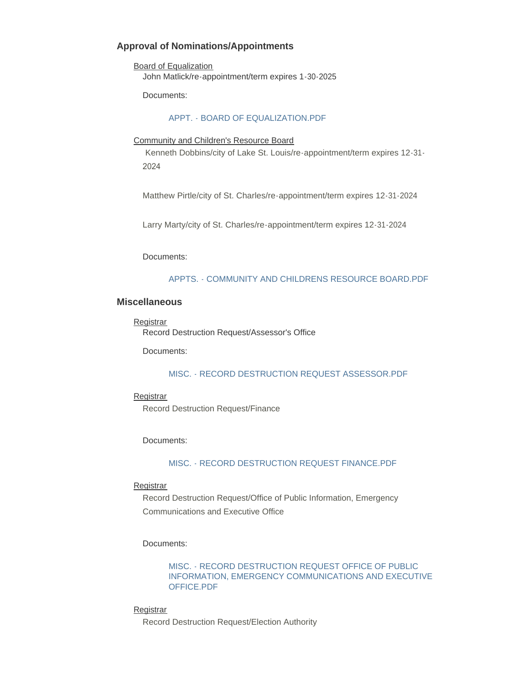# **Approval of Nominations/Appointments**

Board of Equalization John Matlick/re-appointment/term expires 1-30-2025

Documents:

#### [APPT. - BOARD OF EQUALIZATION.PDF](https://www.sccmo.org/AgendaCenter/ViewFile/Item/10518?fileID=31407)

#### Community and Children's Resource Board

Kenneth Dobbins/city of Lake St. Louis/re-appointment/term expires 12-31- 2024

Matthew Pirtle/city of St. Charles/re-appointment/term expires 12-31-2024

Larry Marty/city of St. Charles/re-appointment/term expires 12-31-2024

Documents:

#### [APPTS. - COMMUNITY AND CHILDRENS RESOURCE BOARD.PDF](https://www.sccmo.org/AgendaCenter/ViewFile/Item/10519?fileID=31408)

### **Miscellaneous**

**Registrar** Record Destruction Request/Assessor's Office

Documents:

#### [MISC. - RECORD DESTRUCTION REQUEST ASSESSOR.PDF](https://www.sccmo.org/AgendaCenter/ViewFile/Item/10524?fileID=31458)

### **Registrar** Record Destruction Request/Finance

#### Documents:

#### [MISC. - RECORD DESTRUCTION REQUEST FINANCE.PDF](https://www.sccmo.org/AgendaCenter/ViewFile/Item/10525?fileID=31457)

#### **Registrar**

Record Destruction Request/Office of Public Information, Emergency Communications and Executive Office

#### Documents:

## MISC. - RECORD DESTRUCTION REQUEST OFFICE OF PUBLIC [INFORMATION, EMERGENCY COMMUNICATIONS AND EXECUTIVE](https://www.sccmo.org/AgendaCenter/ViewFile/Item/10528?fileID=31469)  OFFICE.PDF

#### **Registrar**

Record Destruction Request/Election Authority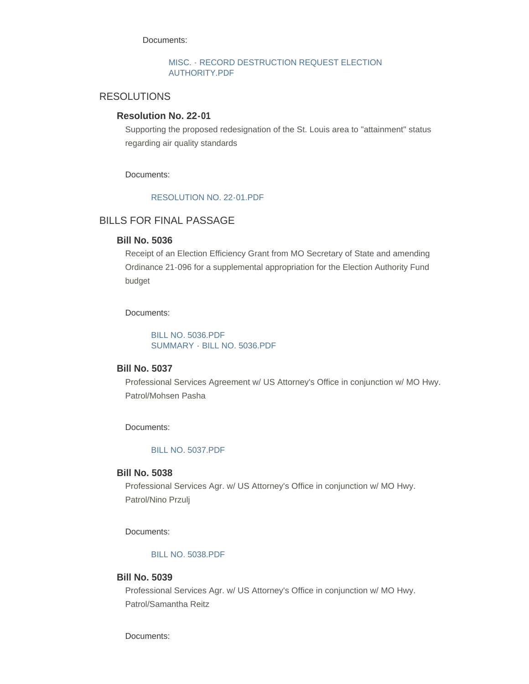Documents:

### [MISC. - RECORD DESTRUCTION REQUEST ELECTION](https://www.sccmo.org/AgendaCenter/ViewFile/Item/10529?fileID=31470)  AUTHORITY.PDF

## RESOLUTIONS

## **Resolution No. 22-01**

Supporting the proposed redesignation of the St. Louis area to "attainment" status regarding air quality standards

Documents:

## [RESOLUTION NO. 22-01.PDF](https://www.sccmo.org/AgendaCenter/ViewFile/Item/10539?fileID=31488)

## BILLS FOR FINAL PASSAGE

### **Bill No. 5036**

Receipt of an Election Efficiency Grant from MO Secretary of State and amending Ordinance 21-096 for a supplemental appropriation for the Election Authority Fund budget

#### Documents:

[BILL NO. 5036.PDF](https://www.sccmo.org/AgendaCenter/ViewFile/Item/10507?fileID=31263) [SUMMARY - BILL NO. 5036.PDF](https://www.sccmo.org/AgendaCenter/ViewFile/Item/10507?fileID=31264)

## **Bill No. 5037**

Professional Services Agreement w/ US Attorney's Office in conjunction w/ MO Hwy. Patrol/Mohsen Pasha

Documents:

[BILL NO. 5037.PDF](https://www.sccmo.org/AgendaCenter/ViewFile/Item/10508?fileID=31265)

### **Bill No. 5038**

Professional Services Agr. w/ US Attorney's Office in conjunction w/ MO Hwy. Patrol/Nino Przulj

Documents:

### [BILL NO. 5038.PDF](https://www.sccmo.org/AgendaCenter/ViewFile/Item/10509?fileID=31266)

## **Bill No. 5039**

Professional Services Agr. w/ US Attorney's Office in conjunction w/ MO Hwy. Patrol/Samantha Reitz

Documents: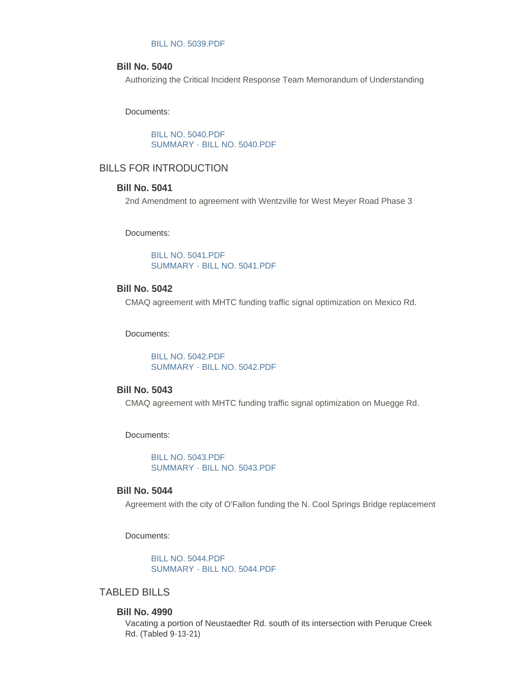#### [BILL NO. 5039.PDF](https://www.sccmo.org/AgendaCenter/ViewFile/Item/10510?fileID=31267)

### **Bill No. 5040**

Authorizing the Critical Incident Response Team Memorandum of Understanding

Documents:

[BILL NO. 5040.PDF](https://www.sccmo.org/AgendaCenter/ViewFile/Item/10511?fileID=31268) [SUMMARY - BILL NO. 5040.PDF](https://www.sccmo.org/AgendaCenter/ViewFile/Item/10511?fileID=31269)

## BILLS FOR INTRODUCTION

## **Bill No. 5041**

2nd Amendment to agreement with Wentzville for West Meyer Road Phase 3

Documents:

[BILL NO. 5041.PDF](https://www.sccmo.org/AgendaCenter/ViewFile/Item/10531?fileID=31478) [SUMMARY - BILL NO. 5041.PDF](https://www.sccmo.org/AgendaCenter/ViewFile/Item/10531?fileID=31479)

## **Bill No. 5042**

CMAQ agreement with MHTC funding traffic signal optimization on Mexico Rd.

Documents:

[BILL NO. 5042.PDF](https://www.sccmo.org/AgendaCenter/ViewFile/Item/10532?fileID=31480) [SUMMARY - BILL NO. 5042.PDF](https://www.sccmo.org/AgendaCenter/ViewFile/Item/10532?fileID=31481)

## **Bill No. 5043**

CMAQ agreement with MHTC funding traffic signal optimization on Muegge Rd.

Documents:

[BILL NO. 5043.PDF](https://www.sccmo.org/AgendaCenter/ViewFile/Item/10533?fileID=31482) [SUMMARY - BILL NO. 5043.PDF](https://www.sccmo.org/AgendaCenter/ViewFile/Item/10533?fileID=31483)

### **Bill No. 5044**

Agreement with the city of O'Fallon funding the N. Cool Springs Bridge replacement

Documents:

[BILL NO. 5044.PDF](https://www.sccmo.org/AgendaCenter/ViewFile/Item/10534?fileID=31484) [SUMMARY - BILL NO. 5044.PDF](https://www.sccmo.org/AgendaCenter/ViewFile/Item/10534?fileID=31485)

## TABLED BILLS

#### **Bill No. 4990**

Vacating a portion of Neustaedter Rd. south of its intersection with Peruque Creek Rd. (Tabled 9-13-21)